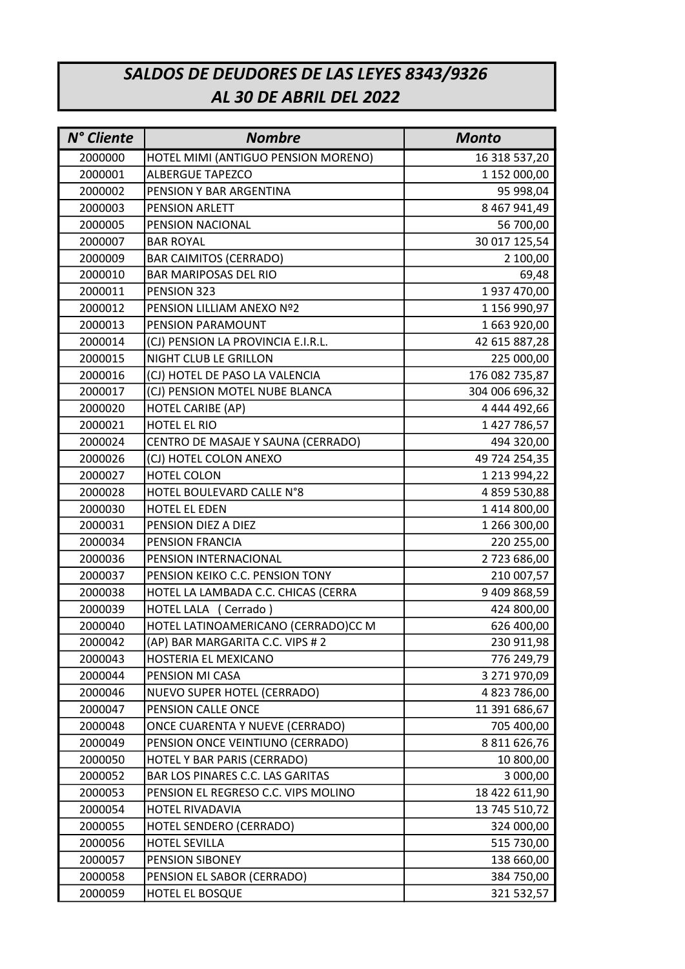## SALDOS DE DEUDORES DE LAS LEYES 8343/9326 AL 30 DE ABRIL DEL 2022

| N° Cliente | <b>Nombre</b>                           | <b>Monto</b>        |
|------------|-----------------------------------------|---------------------|
| 2000000    | HOTEL MIMI (ANTIGUO PENSION MORENO)     | 16 318 537,20       |
| 2000001    | <b>ALBERGUE TAPEZCO</b>                 | 1 152 000,00        |
| 2000002    | PENSION Y BAR ARGENTINA                 | 95 998,04           |
| 2000003    | PENSION ARLETT                          | 8 467 941,49        |
| 2000005    | PENSION NACIONAL                        | 56 700,00           |
| 2000007    | <b>BAR ROYAL</b>                        | 30 017 125,54       |
| 2000009    | <b>BAR CAIMITOS (CERRADO)</b>           | 2 100,00            |
| 2000010    | <b>BAR MARIPOSAS DEL RIO</b>            | 69,48               |
| 2000011    | PENSION 323                             | 1937 470,00         |
| 2000012    | PENSION LILLIAM ANEXO Nº2               | 1 156 990,97        |
| 2000013    | PENSION PARAMOUNT                       | 1 663 920,00        |
| 2000014    | (CJ) PENSION LA PROVINCIA E.I.R.L.      | 42 615 887,28       |
| 2000015    | NIGHT CLUB LE GRILLON                   | 225 000,00          |
| 2000016    | (CJ) HOTEL DE PASO LA VALENCIA          | 176 082 735,87      |
| 2000017    | (CJ) PENSION MOTEL NUBE BLANCA          | 304 006 696,32      |
| 2000020    | <b>HOTEL CARIBE (AP)</b>                | 4 444 492,66        |
| 2000021    | HOTEL EL RIO                            | 1427786,57          |
| 2000024    | CENTRO DE MASAJE Y SAUNA (CERRADO)      | 494 320,00          |
| 2000026    | (CJ) HOTEL COLON ANEXO                  | 49 724 254,35       |
| 2000027    | HOTEL COLON                             | 1 213 994,22        |
| 2000028    | HOTEL BOULEVARD CALLE N°8               | 4 859 530,88        |
| 2000030    | HOTEL EL EDEN                           | 1414800,00          |
| 2000031    | PENSION DIEZ A DIEZ                     | 1 266 300,00        |
| 2000034    | PENSION FRANCIA                         | 220 255,00          |
| 2000036    | PENSION INTERNACIONAL                   | 2723686,00          |
| 2000037    | PENSION KEIKO C.C. PENSION TONY         | 210 007,57          |
| 2000038    | HOTEL LA LAMBADA C.C. CHICAS (CERRA     | 9 409 868,59        |
| 2000039    | HOTEL LALA (Cerrado)                    | 424 800,00          |
| 2000040    | HOTEL LATINOAMERICANO (CERRADO)CC M     | 626 400,00          |
| 2000042    | (AP) BAR MARGARITA C.C. VIPS # 2        | 230 911,98          |
| 2000043    | HOSTERIA EL MEXICANO                    | 776 249,79          |
| 2000044    | PENSION MI CASA                         | 3 271 970,09        |
| 2000046    | <b>NUEVO SUPER HOTEL (CERRADO)</b>      | 4 823 786,00        |
| 2000047    | PENSION CALLE ONCE                      | 11 391 686,67       |
| 2000048    | ONCE CUARENTA Y NUEVE (CERRADO)         | 705 400,00          |
| 2000049    | PENSION ONCE VEINTIUNO (CERRADO)        | 8 8 1 1 6 2 6 , 7 6 |
| 2000050    | HOTEL Y BAR PARIS (CERRADO)             | 10 800,00           |
| 2000052    | <b>BAR LOS PINARES C.C. LAS GARITAS</b> | 3 000,00            |
| 2000053    | PENSION EL REGRESO C.C. VIPS MOLINO     | 18 422 611,90       |
| 2000054    | HOTEL RIVADAVIA                         | 13 745 510,72       |
| 2000055    | HOTEL SENDERO (CERRADO)                 | 324 000,00          |
| 2000056    | <b>HOTEL SEVILLA</b>                    | 515 730,00          |
| 2000057    | PENSION SIBONEY                         | 138 660,00          |
| 2000058    | PENSION EL SABOR (CERRADO)              | 384 750,00          |
| 2000059    | HOTEL EL BOSQUE                         | 321 532,57          |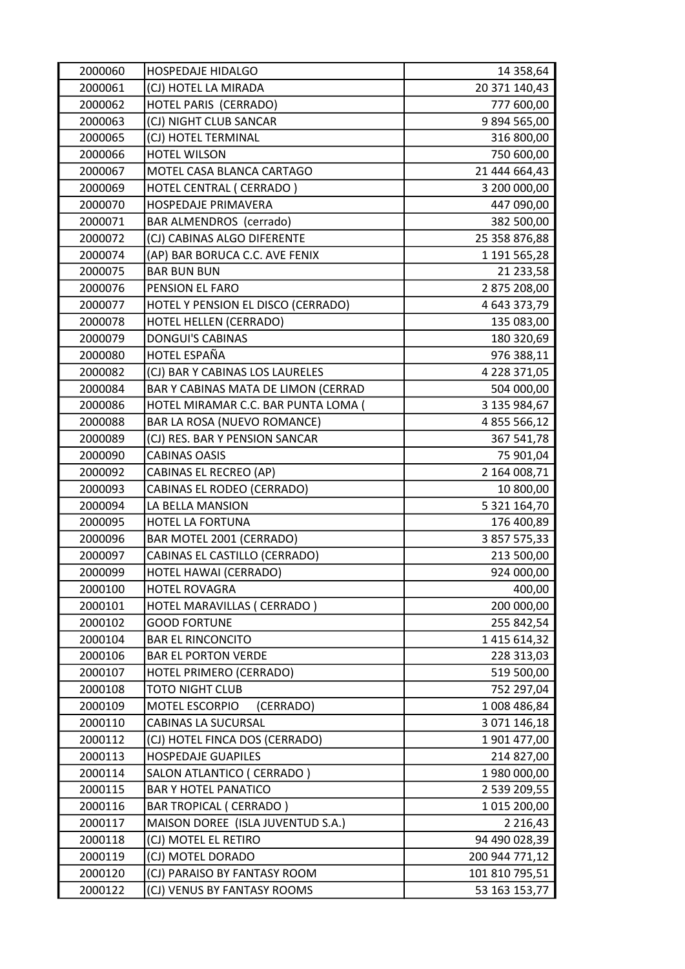| 2000060 | HOSPEDAJE HIDALGO                   | 14 358,64           |
|---------|-------------------------------------|---------------------|
| 2000061 | (CJ) HOTEL LA MIRADA                | 20 371 140,43       |
| 2000062 | HOTEL PARIS (CERRADO)               | 777 600,00          |
| 2000063 | (CJ) NIGHT CLUB SANCAR              | 9 894 565,00        |
| 2000065 | (CJ) HOTEL TERMINAL                 | 316 800,00          |
| 2000066 | <b>HOTEL WILSON</b>                 | 750 600,00          |
| 2000067 | MOTEL CASA BLANCA CARTAGO           | 21 444 664,43       |
| 2000069 | HOTEL CENTRAL (CERRADO)             | 3 200 000,00        |
| 2000070 | HOSPEDAJE PRIMAVERA                 | 447 090,00          |
| 2000071 | <b>BAR ALMENDROS</b> (cerrado)      | 382 500,00          |
| 2000072 | (CJ) CABINAS ALGO DIFERENTE         | 25 358 876,88       |
| 2000074 | (AP) BAR BORUCA C.C. AVE FENIX      | 1 191 565,28        |
| 2000075 | <b>BAR BUN BUN</b>                  | 21 233,58           |
| 2000076 | PENSION EL FARO                     | 2 875 208,00        |
| 2000077 | HOTEL Y PENSION EL DISCO (CERRADO)  | 4 643 373,79        |
| 2000078 | HOTEL HELLEN (CERRADO)              | 135 083,00          |
| 2000079 | <b>DONGUI'S CABINAS</b>             | 180 320,69          |
| 2000080 | HOTEL ESPAÑA                        | 976 388,11          |
| 2000082 | (CJ) BAR Y CABINAS LOS LAURELES     | 4 228 371,05        |
| 2000084 | BAR Y CABINAS MATA DE LIMON (CERRAD | 504 000,00          |
| 2000086 | HOTEL MIRAMAR C.C. BAR PUNTA LOMA ( | 3 135 984,67        |
| 2000088 | BAR LA ROSA (NUEVO ROMANCE)         | 4 855 566,12        |
| 2000089 | (CJ) RES. BAR Y PENSION SANCAR      | 367 541,78          |
| 2000090 | <b>CABINAS OASIS</b>                | 75 901,04           |
| 2000092 | CABINAS EL RECREO (AP)              | 2 164 008,71        |
| 2000093 | CABINAS EL RODEO (CERRADO)          | 10 800,00           |
| 2000094 | LA BELLA MANSION                    | 5 321 164,70        |
| 2000095 | HOTEL LA FORTUNA                    | 176 400,89          |
| 2000096 | BAR MOTEL 2001 (CERRADO)            | 3 857 575,33        |
| 2000097 | CABINAS EL CASTILLO (CERRADO)       | 213 500,00          |
| 2000099 | HOTEL HAWAI (CERRADO)               | 924 000,00          |
| 2000100 | <b>HOTEL ROVAGRA</b>                | 400,00              |
| 2000101 | HOTEL MARAVILLAS ( CERRADO )        | 200 000,00          |
| 2000102 | <b>GOOD FORTUNE</b>                 | 255 842,54          |
| 2000104 | <b>BAR EL RINCONCITO</b>            | 1 4 1 5 6 1 4 , 3 2 |
| 2000106 | <b>BAR EL PORTON VERDE</b>          | 228 313,03          |
| 2000107 | HOTEL PRIMERO (CERRADO)             | 519 500,00          |
| 2000108 | <b>TOTO NIGHT CLUB</b>              | 752 297,04          |
| 2000109 | MOTEL ESCORPIO<br>(CERRADO)         | 1008 486,84         |
| 2000110 | <b>CABINAS LA SUCURSAL</b>          | 3 071 146,18        |
| 2000112 | (CJ) HOTEL FINCA DOS (CERRADO)      | 1901477,00          |
| 2000113 | <b>HOSPEDAJE GUAPILES</b>           | 214 827,00          |
| 2000114 | SALON ATLANTICO ( CERRADO )         | 1980 000,00         |
| 2000115 | <b>BAR Y HOTEL PANATICO</b>         | 2 539 209,55        |
| 2000116 | <b>BAR TROPICAL ( CERRADO )</b>     | 1 015 200,00        |
| 2000117 | MAISON DOREE (ISLA JUVENTUD S.A.)   | 2 2 1 6, 4 3        |
| 2000118 | (CJ) MOTEL EL RETIRO                | 94 490 028,39       |
| 2000119 | (CJ) MOTEL DORADO                   | 200 944 771,12      |
| 2000120 | (CJ) PARAISO BY FANTASY ROOM        | 101 810 795,51      |
| 2000122 | (CJ) VENUS BY FANTASY ROOMS         | 53 163 153,77       |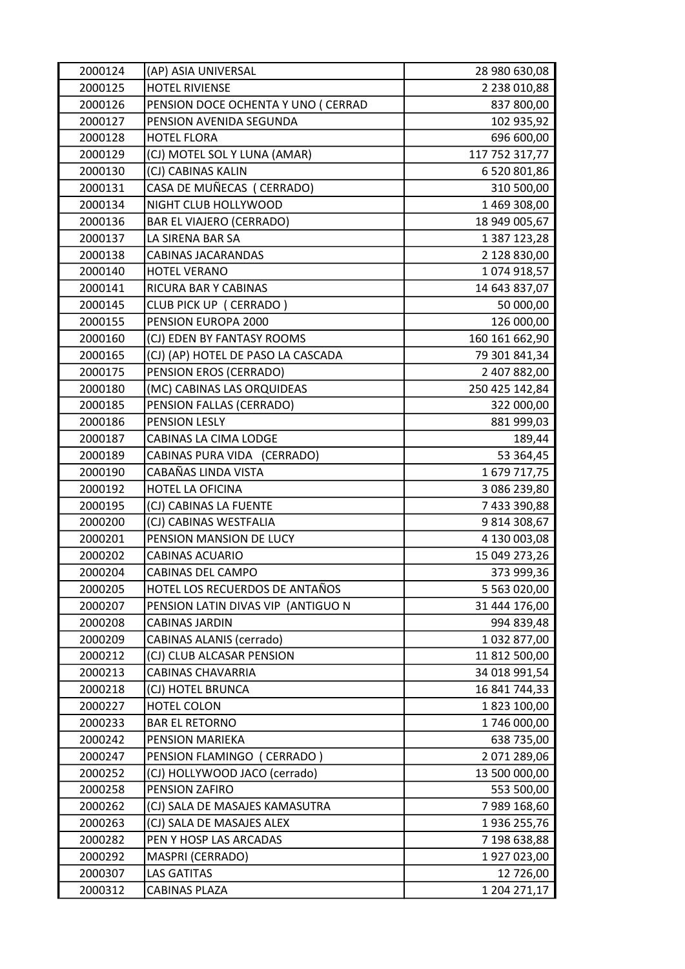| 2000124 | (AP) ASIA UNIVERSAL                 | 28 980 630,08  |
|---------|-------------------------------------|----------------|
| 2000125 | <b>HOTEL RIVIENSE</b>               | 2 238 010,88   |
| 2000126 | PENSION DOCE OCHENTA Y UNO ( CERRAD | 837 800,00     |
| 2000127 | PENSION AVENIDA SEGUNDA             | 102 935,92     |
| 2000128 | <b>HOTEL FLORA</b>                  | 696 600,00     |
| 2000129 | (CJ) MOTEL SOL Y LUNA (AMAR)        | 117 752 317,77 |
| 2000130 | (CJ) CABINAS KALIN                  | 6 520 801,86   |
| 2000131 | CASA DE MUÑECAS (CERRADO)           | 310 500,00     |
| 2000134 | NIGHT CLUB HOLLYWOOD                | 1 469 308,00   |
| 2000136 | <b>BAR EL VIAJERO (CERRADO)</b>     | 18 949 005,67  |
| 2000137 | LA SIRENA BAR SA                    | 1 387 123,28   |
| 2000138 | CABINAS JACARANDAS                  | 2 128 830,00   |
| 2000140 | <b>HOTEL VERANO</b>                 | 1074918,57     |
| 2000141 | RICURA BAR Y CABINAS                | 14 643 837,07  |
| 2000145 | CLUB PICK UP (CERRADO)              | 50 000,00      |
| 2000155 | PENSION EUROPA 2000                 | 126 000,00     |
| 2000160 | (CJ) EDEN BY FANTASY ROOMS          | 160 161 662,90 |
| 2000165 | (CJ) (AP) HOTEL DE PASO LA CASCADA  | 79 301 841,34  |
| 2000175 | PENSION EROS (CERRADO)              | 2 407 882,00   |
| 2000180 | (MC) CABINAS LAS ORQUIDEAS          | 250 425 142,84 |
| 2000185 | PENSION FALLAS (CERRADO)            | 322 000,00     |
| 2000186 | PENSION LESLY                       | 881 999,03     |
| 2000187 | CABINAS LA CIMA LODGE               | 189,44         |
| 2000189 | CABINAS PURA VIDA (CERRADO)         | 53 364,45      |
| 2000190 | CABAÑAS LINDA VISTA                 | 1679 717,75    |
| 2000192 | HOTEL LA OFICINA                    | 3 086 239,80   |
| 2000195 | (CJ) CABINAS LA FUENTE              | 7 433 390,88   |
| 2000200 | (CJ) CABINAS WESTFALIA              | 9814308,67     |
| 2000201 | PENSION MANSION DE LUCY             | 4 130 003,08   |
| 2000202 | <b>CABINAS ACUARIO</b>              | 15 049 273,26  |
| 2000204 | CABINAS DEL CAMPO                   | 373 999,36     |
| 2000205 | HOTEL LOS RECUERDOS DE ANTAÑOS      | 5 5 63 0 20,00 |
| 2000207 | PENSION LATIN DIVAS VIP (ANTIGUO N  | 31 444 176,00  |
| 2000208 | <b>CABINAS JARDIN</b>               | 994 839,48     |
| 2000209 | <b>CABINAS ALANIS (cerrado)</b>     | 1 032 877,00   |
| 2000212 | (CJ) CLUB ALCASAR PENSION           | 11 812 500,00  |
| 2000213 | <b>CABINAS CHAVARRIA</b>            | 34 018 991,54  |
| 2000218 | (CJ) HOTEL BRUNCA                   | 16 841 744,33  |
| 2000227 | HOTEL COLON                         | 1823 100,00    |
| 2000233 | <b>BAR EL RETORNO</b>               | 1746 000,00    |
| 2000242 | PENSION MARIEKA                     | 638 735,00     |
| 2000247 | PENSION FLAMINGO (CERRADO)          | 2 071 289,06   |
| 2000252 | (CJ) HOLLYWOOD JACO (cerrado)       | 13 500 000,00  |
| 2000258 | PENSION ZAFIRO                      | 553 500,00     |
| 2000262 | (CJ) SALA DE MASAJES KAMASUTRA      | 7 989 168,60   |
| 2000263 | (CJ) SALA DE MASAJES ALEX           | 1936 255,76    |
| 2000282 | PEN Y HOSP LAS ARCADAS              | 7 198 638,88   |
| 2000292 | MASPRI (CERRADO)                    | 1927023,00     |
| 2000307 | <b>LAS GATITAS</b>                  | 12 726,00      |
| 2000312 | CABINAS PLAZA                       | 1 204 271,17   |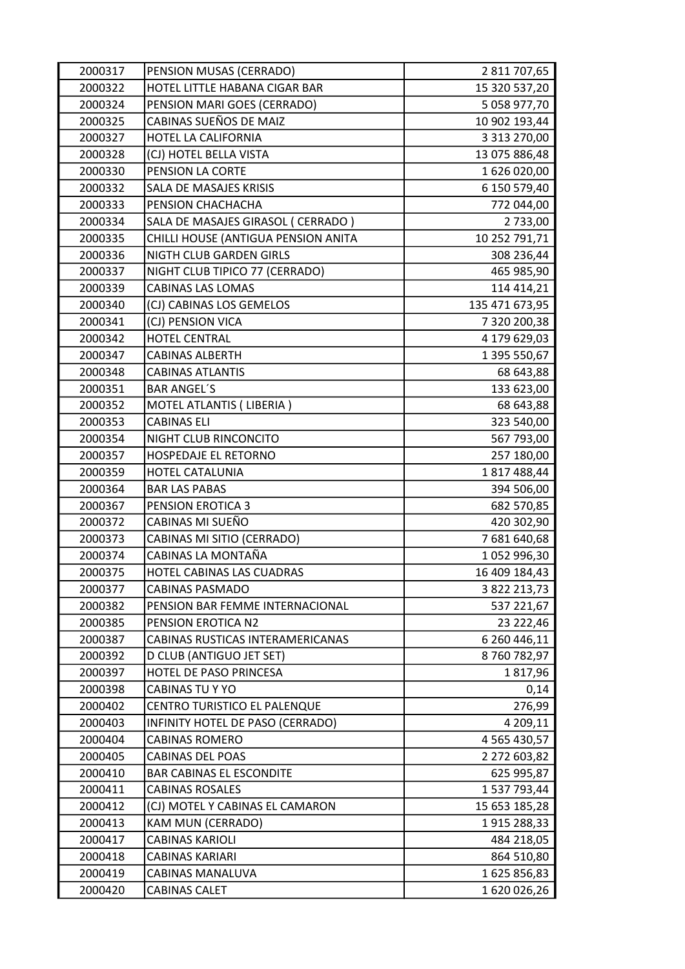| 2000317 | PENSION MUSAS (CERRADO)             | 2 811 707,65        |
|---------|-------------------------------------|---------------------|
| 2000322 | HOTEL LITTLE HABANA CIGAR BAR       | 15 320 537,20       |
| 2000324 | PENSION MARI GOES (CERRADO)         | 5 058 977,70        |
| 2000325 | CABINAS SUEÑOS DE MAIZ              | 10 902 193,44       |
| 2000327 | HOTEL LA CALIFORNIA                 | 3 3 1 3 2 7 0 , 0 0 |
| 2000328 | (CJ) HOTEL BELLA VISTA              | 13 075 886,48       |
| 2000330 | PENSION LA CORTE                    | 1626020,00          |
| 2000332 | SALA DE MASAJES KRISIS              | 6 150 579,40        |
| 2000333 | PENSION CHACHACHA                   | 772 044,00          |
| 2000334 | SALA DE MASAJES GIRASOL ( CERRADO ) | 2 733,00            |
| 2000335 | CHILLI HOUSE (ANTIGUA PENSION ANITA | 10 252 791,71       |
| 2000336 | NIGTH CLUB GARDEN GIRLS             | 308 236,44          |
| 2000337 | NIGHT CLUB TIPICO 77 (CERRADO)      | 465 985,90          |
| 2000339 | <b>CABINAS LAS LOMAS</b>            | 114 414,21          |
| 2000340 | (CJ) CABINAS LOS GEMELOS            | 135 471 673,95      |
| 2000341 | (CJ) PENSION VICA                   | 7 320 200,38        |
| 2000342 | <b>HOTEL CENTRAL</b>                | 4 179 629,03        |
| 2000347 | <b>CABINAS ALBERTH</b>              | 1 395 550,67        |
| 2000348 | <b>CABINAS ATLANTIS</b>             | 68 643,88           |
| 2000351 | <b>BAR ANGEL'S</b>                  | 133 623,00          |
| 2000352 | MOTEL ATLANTIS (LIBERIA)            | 68 643,88           |
| 2000353 | <b>CABINAS ELI</b>                  | 323 540,00          |
| 2000354 | NIGHT CLUB RINCONCITO               | 567 793,00          |
| 2000357 | HOSPEDAJE EL RETORNO                | 257 180,00          |
| 2000359 | HOTEL CATALUNIA                     | 1817488,44          |
| 2000364 | <b>BAR LAS PABAS</b>                | 394 506,00          |
| 2000367 | <b>PENSION EROTICA 3</b>            | 682 570,85          |
| 2000372 | CABINAS MI SUEÑO                    | 420 302,90          |
| 2000373 | CABINAS MI SITIO (CERRADO)          | 7 681 640,68        |
| 2000374 | CABINAS LA MONTAÑA                  | 1052996,30          |
| 2000375 | HOTEL CABINAS LAS CUADRAS           | 16 409 184,43       |
| 2000377 | <b>CABINAS PASMADO</b>              | 3 822 213,73        |
| 2000382 | PENSION BAR FEMME INTERNACIONAL     | 537 221,67          |
| 2000385 | PENSION EROTICA N2                  | 23 222,46           |
| 2000387 | CABINAS RUSTICAS INTERAMERICANAS    | 6 260 446,11        |
| 2000392 | D CLUB (ANTIGUO JET SET)            | 8760782,97          |
| 2000397 | HOTEL DE PASO PRINCESA              | 1817,96             |
| 2000398 | CABINAS TU Y YO                     | 0,14                |
| 2000402 | CENTRO TURISTICO EL PALENQUE        | 276,99              |
| 2000403 | INFINITY HOTEL DE PASO (CERRADO)    | 4 209,11            |
| 2000404 | <b>CABINAS ROMERO</b>               | 4 5 6 5 4 3 0 , 5 7 |
| 2000405 | CABINAS DEL POAS                    | 2 272 603,82        |
| 2000410 | <b>BAR CABINAS EL ESCONDITE</b>     | 625 995,87          |
| 2000411 | <b>CABINAS ROSALES</b>              | 1 537 793,44        |
| 2000412 | (CJ) MOTEL Y CABINAS EL CAMARON     | 15 653 185,28       |
| 2000413 | KAM MUN (CERRADO)                   | 1915 288,33         |
| 2000417 | <b>CABINAS KARIOLI</b>              | 484 218,05          |
| 2000418 | CABINAS KARIARI                     | 864 510,80          |
| 2000419 | CABINAS MANALUVA                    | 1625856,83          |
| 2000420 | CABINAS CALET                       | 1620026,26          |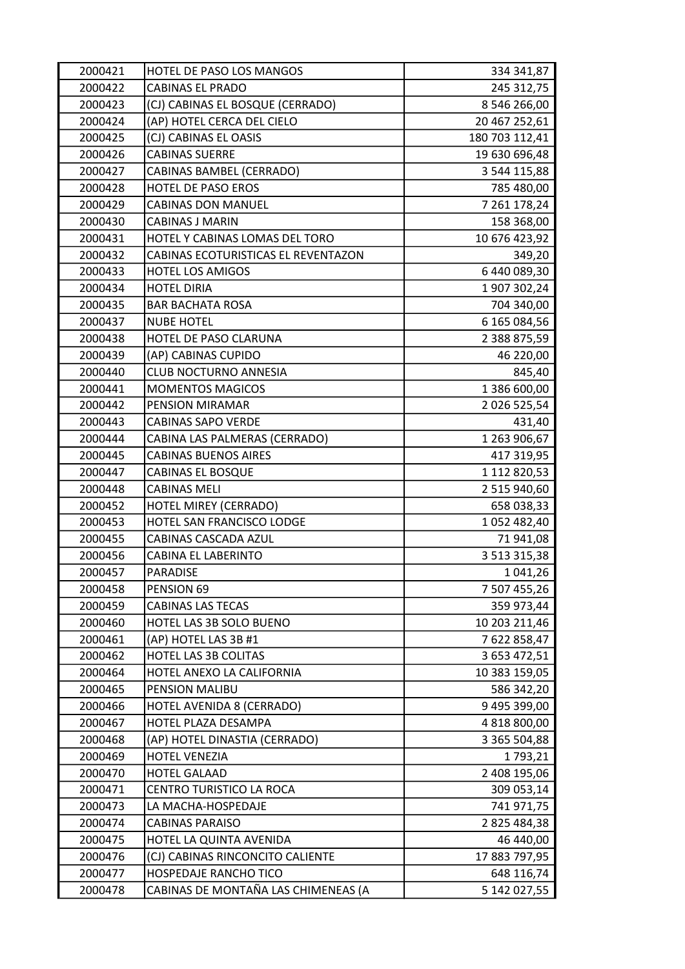| 2000421 | HOTEL DE PASO LOS MANGOS            | 334 341,87          |
|---------|-------------------------------------|---------------------|
| 2000422 | <b>CABINAS EL PRADO</b>             | 245 312,75          |
| 2000423 | (CJ) CABINAS EL BOSQUE (CERRADO)    | 8 546 266,00        |
| 2000424 | (AP) HOTEL CERCA DEL CIELO          | 20 467 252,61       |
| 2000425 | (CJ) CABINAS EL OASIS               | 180 703 112,41      |
| 2000426 | <b>CABINAS SUERRE</b>               | 19 630 696,48       |
| 2000427 | <b>CABINAS BAMBEL (CERRADO)</b>     | 3 544 115,88        |
| 2000428 | <b>HOTEL DE PASO EROS</b>           | 785 480,00          |
| 2000429 | <b>CABINAS DON MANUEL</b>           | 7 261 178,24        |
| 2000430 | <b>CABINAS J MARIN</b>              | 158 368,00          |
| 2000431 | HOTEL Y CABINAS LOMAS DEL TORO      | 10 676 423,92       |
| 2000432 | CABINAS ECOTURISTICAS EL REVENTAZON | 349,20              |
| 2000433 | <b>HOTEL LOS AMIGOS</b>             | 6440089,30          |
| 2000434 | <b>HOTEL DIRIA</b>                  | 1907302,24          |
| 2000435 | <b>BAR BACHATA ROSA</b>             | 704 340,00          |
| 2000437 | <b>NUBE HOTEL</b>                   | 6 165 084,56        |
| 2000438 | HOTEL DE PASO CLARUNA               | 2 388 875,59        |
| 2000439 | (AP) CABINAS CUPIDO                 | 46 220,00           |
| 2000440 | <b>CLUB NOCTURNO ANNESIA</b>        | 845,40              |
| 2000441 | <b>MOMENTOS MAGICOS</b>             | 1 386 600,00        |
| 2000442 | PENSION MIRAMAR                     | 2 0 2 6 5 2 5 , 5 4 |
| 2000443 | <b>CABINAS SAPO VERDE</b>           | 431,40              |
| 2000444 | CABINA LAS PALMERAS (CERRADO)       | 1 263 906,67        |
| 2000445 | <b>CABINAS BUENOS AIRES</b>         | 417 319,95          |
| 2000447 | <b>CABINAS EL BOSQUE</b>            | 1 112 820,53        |
| 2000448 | <b>CABINAS MELI</b>                 | 2 515 940,60        |
| 2000452 | HOTEL MIREY (CERRADO)               | 658 038,33          |
| 2000453 | HOTEL SAN FRANCISCO LODGE           | 1052 482,40         |
| 2000455 | CABINAS CASCADA AZUL                | 71 941,08           |
| 2000456 | CABINA EL LABERINTO                 | 3 5 1 3 3 1 5 , 3 8 |
| 2000457 | PARADISE                            | 1 041,26            |
| 2000458 | PENSION 69                          | 7 507 455,26        |
| 2000459 | <b>CABINAS LAS TECAS</b>            | 359 973,44          |
| 2000460 | HOTEL LAS 3B SOLO BUENO             | 10 203 211,46       |
| 2000461 | (AP) HOTEL LAS 3B #1                | 7622858,47          |
| 2000462 | HOTEL LAS 3B COLITAS                | 3 653 472,51        |
| 2000464 | HOTEL ANEXO LA CALIFORNIA           | 10 383 159,05       |
| 2000465 | PENSION MALIBU                      | 586 342,20          |
| 2000466 | HOTEL AVENIDA 8 (CERRADO)           | 9 495 399,00        |
| 2000467 | HOTEL PLAZA DESAMPA                 | 4 818 800,00        |
| 2000468 | (AP) HOTEL DINASTIA (CERRADO)       | 3 365 504,88        |
| 2000469 | <b>HOTEL VENEZIA</b>                | 1793,21             |
| 2000470 | <b>HOTEL GALAAD</b>                 | 2 408 195,06        |
| 2000471 | CENTRO TURISTICO LA ROCA            | 309 053,14          |
| 2000473 | LA MACHA-HOSPEDAJE                  | 741 971,75          |
| 2000474 | CABINAS PARAISO                     | 2 825 484,38        |
| 2000475 | HOTEL LA QUINTA AVENIDA             | 46 440,00           |
| 2000476 | (CJ) CABINAS RINCONCITO CALIENTE    | 17 883 797,95       |
| 2000477 | HOSPEDAJE RANCHO TICO               | 648 116,74          |
| 2000478 | CABINAS DE MONTAÑA LAS CHIMENEAS (A | 5 142 027,55        |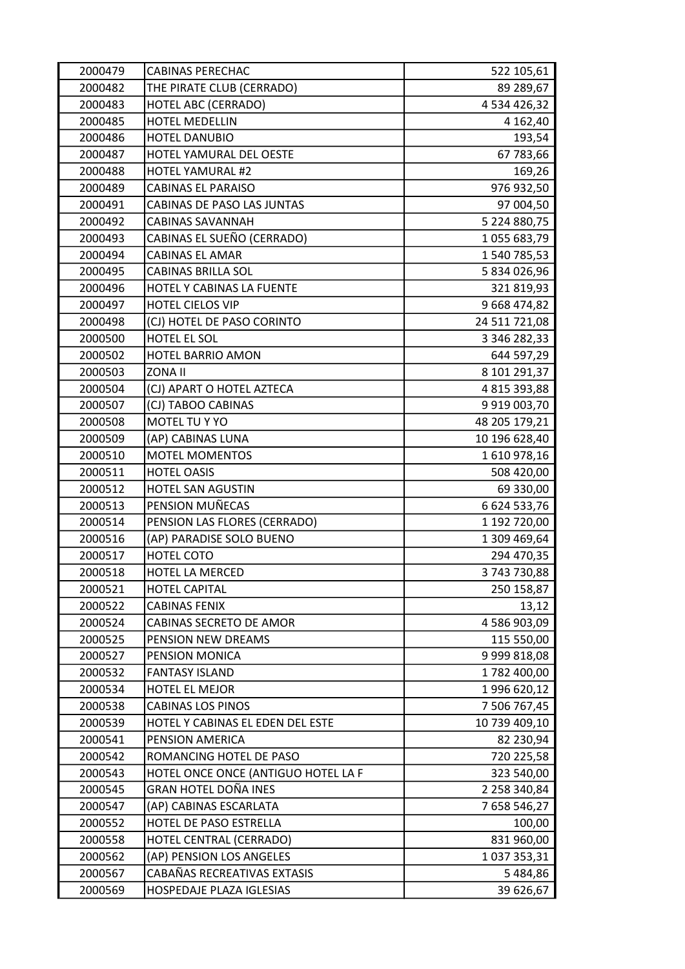| 2000479 | <b>CABINAS PERECHAC</b>             | 522 105,61     |
|---------|-------------------------------------|----------------|
| 2000482 | THE PIRATE CLUB (CERRADO)           | 89 289,67      |
| 2000483 | <b>HOTEL ABC (CERRADO)</b>          | 4 534 426,32   |
| 2000485 | HOTEL MEDELLIN                      | 4 162,40       |
| 2000486 | <b>HOTEL DANUBIO</b>                | 193,54         |
| 2000487 | HOTEL YAMURAL DEL OESTE             | 67 783,66      |
| 2000488 | <b>HOTEL YAMURAL #2</b>             | 169,26         |
| 2000489 | <b>CABINAS EL PARAISO</b>           | 976 932,50     |
| 2000491 | CABINAS DE PASO LAS JUNTAS          | 97 004,50      |
| 2000492 | <b>CABINAS SAVANNAH</b>             | 5 224 880,75   |
| 2000493 | CABINAS EL SUEÑO (CERRADO)          | 1055 683,79    |
| 2000494 | <b>CABINAS EL AMAR</b>              | 1 540 785,53   |
| 2000495 | CABINAS BRILLA SOL                  | 5 834 026,96   |
| 2000496 | HOTEL Y CABINAS LA FUENTE           | 321 819,93     |
| 2000497 | <b>HOTEL CIELOS VIP</b>             | 9 668 474,82   |
| 2000498 | (CJ) HOTEL DE PASO CORINTO          | 24 511 721,08  |
| 2000500 | HOTEL EL SOL                        | 3 346 282,33   |
| 2000502 | <b>HOTEL BARRIO AMON</b>            | 644 597,29     |
| 2000503 | <b>ZONA II</b>                      | 8 101 291,37   |
| 2000504 | (CJ) APART O HOTEL AZTECA           | 4 815 393,88   |
| 2000507 | (CJ) TABOO CABINAS                  | 9 9 19 0 03,70 |
| 2000508 | MOTEL TU Y YO                       | 48 205 179,21  |
| 2000509 | (AP) CABINAS LUNA                   | 10 196 628,40  |
| 2000510 | <b>MOTEL MOMENTOS</b>               | 1610978,16     |
| 2000511 | <b>HOTEL OASIS</b>                  | 508 420,00     |
| 2000512 | HOTEL SAN AGUSTIN                   | 69 330,00      |
| 2000513 | PENSION MUÑECAS                     | 6 624 533,76   |
| 2000514 | PENSION LAS FLORES (CERRADO)        | 1 192 720,00   |
| 2000516 | (AP) PARADISE SOLO BUENO            | 1 309 469,64   |
| 2000517 | HOTEL COTO                          | 294 470,35     |
| 2000518 | HOTEL LA MERCED                     | 3 743 730,88   |
| 2000521 | <b>HOTEL CAPITAL</b>                | 250 158,87     |
| 2000522 | <b>CABINAS FENIX</b>                | 13,12          |
| 2000524 | <b>CABINAS SECRETO DE AMOR</b>      | 4 586 903,09   |
| 2000525 | PENSION NEW DREAMS                  | 115 550,00     |
| 2000527 | PENSION MONICA                      | 9 999 818,08   |
| 2000532 | <b>FANTASY ISLAND</b>               | 1782 400,00    |
| 2000534 | HOTEL EL MEJOR                      | 1996 620,12    |
| 2000538 | <b>CABINAS LOS PINOS</b>            | 7 506 767,45   |
| 2000539 | HOTEL Y CABINAS EL EDEN DEL ESTE    | 10 739 409,10  |
| 2000541 | PENSION AMERICA                     | 82 230,94      |
| 2000542 | ROMANCING HOTEL DE PASO             | 720 225,58     |
| 2000543 | HOTEL ONCE ONCE (ANTIGUO HOTEL LA F | 323 540,00     |
| 2000545 | GRAN HOTEL DOÑA INES                | 2 258 340,84   |
| 2000547 | (AP) CABINAS ESCARLATA              | 7 658 546,27   |
| 2000552 | HOTEL DE PASO ESTRELLA              | 100,00         |
| 2000558 | HOTEL CENTRAL (CERRADO)             | 831 960,00     |
| 2000562 | (AP) PENSION LOS ANGELES            | 1037353,31     |
| 2000567 | CABAÑAS RECREATIVAS EXTASIS         | 5484,86        |
| 2000569 | HOSPEDAJE PLAZA IGLESIAS            | 39 626,67      |